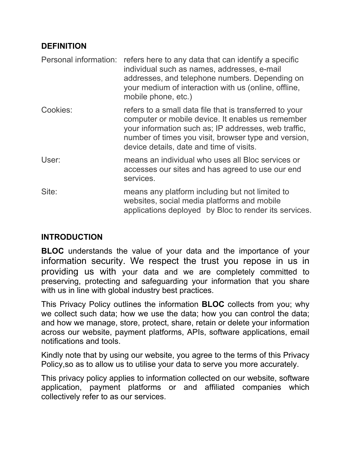## **DEFINITION**

|          | Personal information: refers here to any data that can identify a specific<br>individual such as names, addresses, e-mail<br>addresses, and telephone numbers. Depending on<br>your medium of interaction with us (online, offline,<br>mobile phone, etc.)               |
|----------|--------------------------------------------------------------------------------------------------------------------------------------------------------------------------------------------------------------------------------------------------------------------------|
| Cookies: | refers to a small data file that is transferred to your<br>computer or mobile device. It enables us remember<br>your information such as; IP addresses, web traffic,<br>number of times you visit, browser type and version,<br>device details, date and time of visits. |
| User:    | means an individual who uses all Bloc services or<br>accesses our sites and has agreed to use our end<br>services.                                                                                                                                                       |
| Site:    | means any platform including but not limited to<br>websites, social media platforms and mobile<br>applications deployed by Bloc to render its services.                                                                                                                  |

## **INTRODUCTION**

**BLOC** understands the value of your data and the importance of your information security. We respect the trust you repose in us in providing us with your data and we are completely committed to preserving, protecting and safeguarding your information that you share with us in line with global industry best practices.

This Privacy Policy outlines the information **BLOC** collects from you; why we collect such data; how we use the data; how you can control the data; and how we manage, store, protect, share, retain or delete your information across our website, payment platforms, APIs, software applications, email notifications and tools.

Kindly note that by using our website, you agree to the terms of this Privacy Policy,so as to allow us to utilise your data to serve you more accurately.

This privacy policy applies to information collected on our website, software application, payment platforms or and affiliated companies which collectively refer to as our services.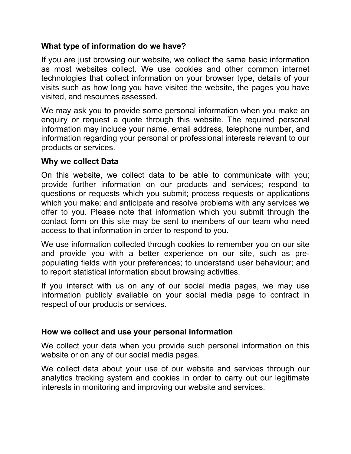## **What type of information do we have?**

If you are just browsing our website, we collect the same basic information as most websites collect. We use cookies and other common internet technologies that collect information on your browser type, details of your visits such as how long you have visited the website, the pages you have visited, and resources assessed.

We may ask you to provide some personal information when you make an enquiry or request a quote through this website. The required personal information may include your name, email address, telephone number, and information regarding your personal or professional interests relevant to our products or services.

#### **Why we collect Data**

On this website, we collect data to be able to communicate with you; provide further information on our products and services; respond to questions or requests which you submit; process requests or applications which you make; and anticipate and resolve problems with any services we offer to you. Please note that information which you submit through the contact form on this site may be sent to members of our team who need access to that information in order to respond to you.

We use information collected through cookies to remember you on our site and provide you with a better experience on our site, such as prepopulating fields with your preferences; to understand user behaviour; and to report statistical information about browsing activities.

If you interact with us on any of our social media pages, we may use information publicly available on your social media page to contract in respect of our products or services.

### **How we collect and use your personal information**

We collect your data when you provide such personal information on this website or on any of our social media pages.

We collect data about your use of our website and services through our analytics tracking system and cookies in order to carry out our legitimate interests in monitoring and improving our website and services.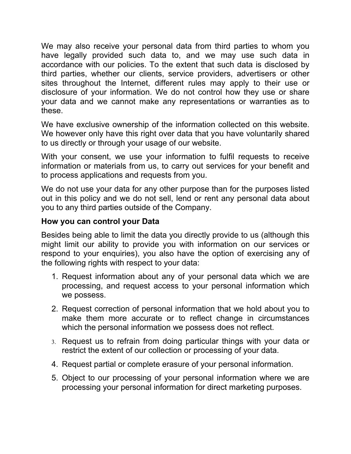We may also receive your personal data from third parties to whom you have legally provided such data to, and we may use such data in accordance with our policies. To the extent that such data is disclosed by third parties, whether our clients, service providers, advertisers or other sites throughout the Internet, different rules may apply to their use or disclosure of your information. We do not control how they use or share your data and we cannot make any representations or warranties as to these.

We have exclusive ownership of the information collected on this website. We however only have this right over data that you have voluntarily shared to us directly or through your usage of our website.

With your consent, we use your information to fulfil requests to receive information or materials from us, to carry out services for your benefit and to process applications and requests from you.

We do not use your data for any other purpose than for the purposes listed out in this policy and we do not sell, lend or rent any personal data about you to any third parties outside of the Company.

## **How you can control your Data**

Besides being able to limit the data you directly provide to us (although this might limit our ability to provide you with information on our services or respond to your enquiries), you also have the option of exercising any of the following rights with respect to your data:

- 1. Request information about any of your personal data which we are processing, and request access to your personal information which we possess.
- 2. Request correction of personal information that we hold about you to make them more accurate or to reflect change in circumstances which the personal information we possess does not reflect.
- 3. Request us to refrain from doing particular things with your data or restrict the extent of our collection or processing of your data.
- 4. Request partial or complete erasure of your personal information.
- 5. Object to our processing of your personal information where we are processing your personal information for direct marketing purposes.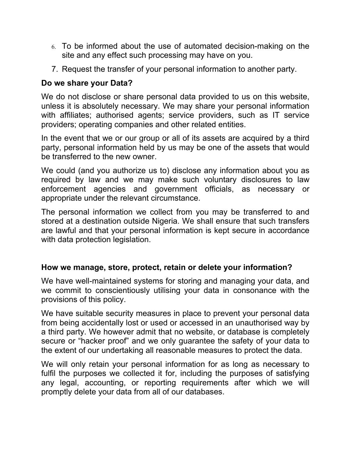- 6. To be informed about the use of automated decision-making on the site and any effect such processing may have on you.
- 7. Request the transfer of your personal information to another party.

# **Do we share your Data?**

We do not disclose or share personal data provided to us on this website, unless it is absolutely necessary. We may share your personal information with affiliates; authorised agents; service providers, such as IT service providers; operating companies and other related entities.

In the event that we or our group or all of its assets are acquired by a third party, personal information held by us may be one of the assets that would be transferred to the new owner.

We could (and you authorize us to) disclose any information about you as required by law and we may make such voluntary disclosures to law enforcement agencies and government officials, as necessary or appropriate under the relevant circumstance.

The personal information we collect from you may be transferred to and stored at a destination outside Nigeria. We shall ensure that such transfers are lawful and that your personal information is kept secure in accordance with data protection legislation.

## **How we manage, store, protect, retain or delete your information?**

We have well-maintained systems for storing and managing your data, and we commit to conscientiously utilising your data in consonance with the provisions of this policy.

We have suitable security measures in place to prevent your personal data from being accidentally lost or used or accessed in an unauthorised way by a third party. We however admit that no website, or database is completely secure or "hacker proof" and we only guarantee the safety of your data to the extent of our undertaking all reasonable measures to protect the data.

We will only retain your personal information for as long as necessary to fulfil the purposes we collected it for, including the purposes of satisfying any legal, accounting, or reporting requirements after which we will promptly delete your data from all of our databases.